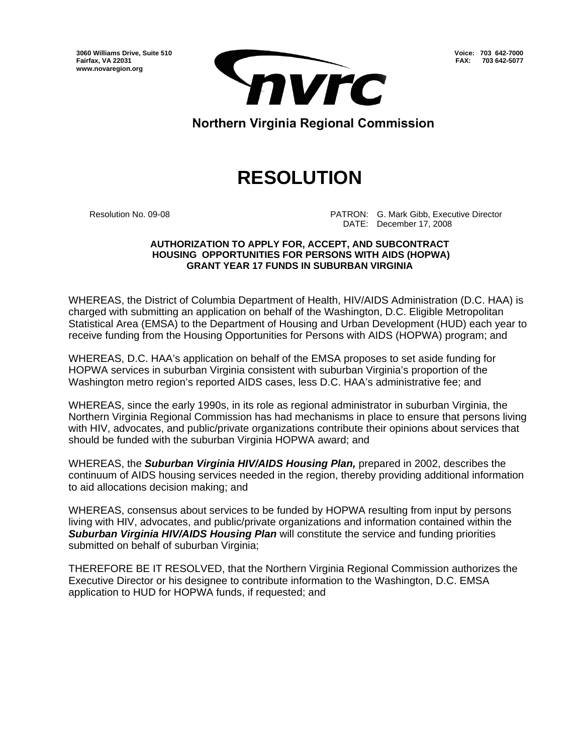**3060 Williams Drive, Suite 510 Fairfax, VA 22031 www.novaregion.org** 



**Voice: 703 642-7000 FAX: 703 642-5077**

**Northern Virginia Regional Commission** 

## **RESOLUTION**

 Resolution No. 09-08 PATRON: G. Mark Gibb, Executive Director DATE: December 17, 2008

## **AUTHORIZATION TO APPLY FOR, ACCEPT, AND SUBCONTRACT HOUSING OPPORTUNITIES FOR PERSONS WITH AIDS (HOPWA) GRANT YEAR 17 FUNDS IN SUBURBAN VIRGINIA**

WHEREAS, the District of Columbia Department of Health, HIV/AIDS Administration (D.C. HAA) is charged with submitting an application on behalf of the Washington, D.C. Eligible Metropolitan Statistical Area (EMSA) to the Department of Housing and Urban Development (HUD) each year to receive funding from the Housing Opportunities for Persons with AIDS (HOPWA) program; and

WHEREAS, D.C. HAA's application on behalf of the EMSA proposes to set aside funding for HOPWA services in suburban Virginia consistent with suburban Virginia's proportion of the Washington metro region's reported AIDS cases, less D.C. HAA's administrative fee; and

WHEREAS, since the early 1990s, in its role as regional administrator in suburban Virginia, the Northern Virginia Regional Commission has had mechanisms in place to ensure that persons living with HIV, advocates, and public/private organizations contribute their opinions about services that should be funded with the suburban Virginia HOPWA award; and

WHEREAS, the *Suburban Virginia HIV/AIDS Housing Plan,* prepared in 2002, describes the continuum of AIDS housing services needed in the region, thereby providing additional information to aid allocations decision making; and

WHEREAS, consensus about services to be funded by HOPWA resulting from input by persons living with HIV, advocates, and public/private organizations and information contained within the *Suburban Virginia HIV/AIDS Housing Plan* will constitute the service and funding priorities submitted on behalf of suburban Virginia;

THEREFORE BE IT RESOLVED, that the Northern Virginia Regional Commission authorizes the Executive Director or his designee to contribute information to the Washington, D.C. EMSA application to HUD for HOPWA funds, if requested; and